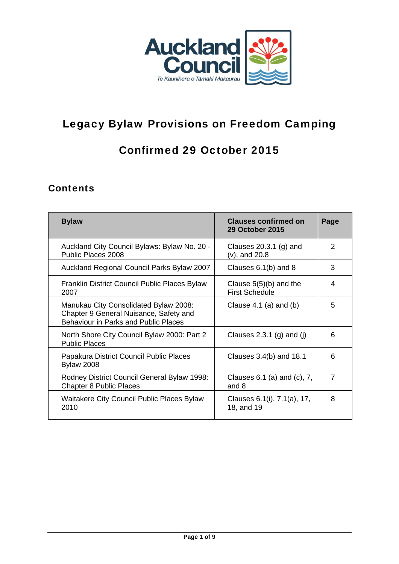

# Legacy Bylaw Provisions on Freedom Camping

## Confirmed 29 October 2015

## **Contents**

| <b>Bylaw</b>                                                                                                                   | <b>Clauses confirmed on</b><br><b>29 October 2015</b> | Page           |
|--------------------------------------------------------------------------------------------------------------------------------|-------------------------------------------------------|----------------|
| Auckland City Council Bylaws: Bylaw No. 20 -<br>Public Places 2008                                                             | Clauses $20.3.1$ (g) and<br>$(v)$ , and 20.8          | $\mathcal{P}$  |
| Auckland Regional Council Parks Bylaw 2007                                                                                     | Clauses $6.1(b)$ and $8$                              | 3              |
| Franklin District Council Public Places Bylaw<br>2007                                                                          | Clause $5(5)(b)$ and the<br><b>First Schedule</b>     | 4              |
| Manukau City Consolidated Bylaw 2008:<br>Chapter 9 General Nuisance, Safety and<br><b>Behaviour in Parks and Public Places</b> | Clause $4.1$ (a) and (b)                              | 5              |
| North Shore City Council Bylaw 2000: Part 2<br><b>Public Places</b>                                                            | Clauses 2.3.1 (g) and (j)                             | 6              |
| Papakura District Council Public Places<br><b>Bylaw 2008</b>                                                                   | Clauses $3.4(b)$ and $18.1$                           | 6              |
| Rodney District Council General Bylaw 1998:<br><b>Chapter 8 Public Places</b>                                                  | Clauses $6.1$ (a) and (c), $7$ ,<br>and 8             | $\overline{7}$ |
| Waitakere City Council Public Places Bylaw<br>2010                                                                             | Clauses 6.1(i), 7.1(a), 17,<br>18, and 19             | 8              |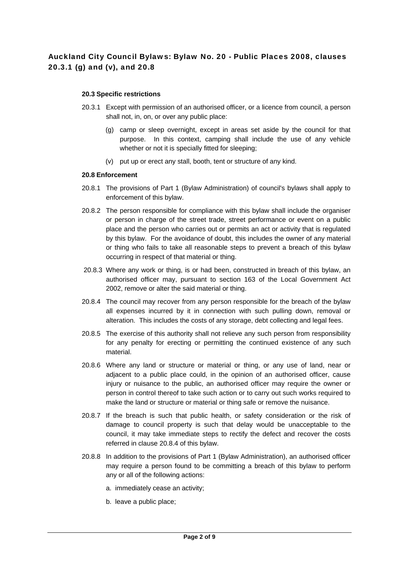### Auckland City Council Bylaws: Bylaw No. 20 - Public Places 2008, clauses 20.3.1 (g) and (v), and 20.8

#### **20.3 Specific restrictions**

- 20.3.1 Except with permission of an authorised officer, or a licence from council, a person shall not, in, on, or over any public place:
	- (g) camp or sleep overnight, except in areas set aside by the council for that purpose. In this context, camping shall include the use of any vehicle whether or not it is specially fitted for sleeping;
	- (v) put up or erect any stall, booth, tent or structure of any kind.

### **20.8 Enforcement**

- 20.8.1 The provisions of Part 1 (Bylaw Administration) of council's bylaws shall apply to enforcement of this bylaw.
- 20.8.2 The person responsible for compliance with this bylaw shall include the organiser or person in charge of the street trade, street performance or event on a public place and the person who carries out or permits an act or activity that is regulated by this bylaw. For the avoidance of doubt, this includes the owner of any material or thing who fails to take all reasonable steps to prevent a breach of this bylaw occurring in respect of that material or thing.
- 20.8.3 Where any work or thing, is or had been, constructed in breach of this bylaw, an authorised officer may, pursuant to section 163 of the Local Government Act 2002, remove or alter the said material or thing.
- 20.8.4 The council may recover from any person responsible for the breach of the bylaw all expenses incurred by it in connection with such pulling down, removal or alteration. This includes the costs of any storage, debt collecting and legal fees.
- 20.8.5 The exercise of this authority shall not relieve any such person from responsibility for any penalty for erecting or permitting the continued existence of any such material.
- 20.8.6 Where any land or structure or material or thing, or any use of land, near or adjacent to a public place could, in the opinion of an authorised officer, cause injury or nuisance to the public, an authorised officer may require the owner or person in control thereof to take such action or to carry out such works required to make the land or structure or material or thing safe or remove the nuisance.
- 20.8.7 If the breach is such that public health, or safety consideration or the risk of damage to council property is such that delay would be unacceptable to the council, it may take immediate steps to rectify the defect and recover the costs referred in clause 20.8.4 of this bylaw.
- 20.8.8 In addition to the provisions of Part 1 (Bylaw Administration), an authorised officer may require a person found to be committing a breach of this bylaw to perform any or all of the following actions:
	- a. immediately cease an activity;
	- b. leave a public place;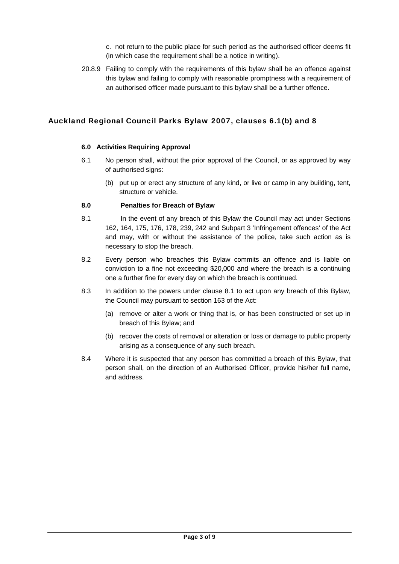c. not return to the public place for such period as the authorised officer deems fit (in which case the requirement shall be a notice in writing).

20.8.9 Failing to comply with the requirements of this bylaw shall be an offence against this bylaw and failing to comply with reasonable promptness with a requirement of an authorised officer made pursuant to this bylaw shall be a further offence.

### Auckland Regional Council Parks Bylaw 2007, clauses 6.1(b) and 8

#### **6.0 Activities Requiring Approval**

- 6.1 No person shall, without the prior approval of the Council, or as approved by way of authorised signs:
	- (b) put up or erect any structure of any kind, or live or camp in any building, tent, structure or vehicle.

#### **8.0 Penalties for Breach of Bylaw**

- 8.1 In the event of any breach of this Bylaw the Council may act under Sections 162, 164, 175, 176, 178, 239, 242 and Subpart 3 'Infringement offences' of the Act and may, with or without the assistance of the police, take such action as is necessary to stop the breach.
- 8.2 Every person who breaches this Bylaw commits an offence and is liable on conviction to a fine not exceeding \$20,000 and where the breach is a continuing one a further fine for every day on which the breach is continued.
- 8.3 In addition to the powers under clause 8.1 to act upon any breach of this Bylaw, the Council may pursuant to section 163 of the Act:
	- (a) remove or alter a work or thing that is, or has been constructed or set up in breach of this Bylaw; and
	- (b) recover the costs of removal or alteration or loss or damage to public property arising as a consequence of any such breach.
- 8.4 Where it is suspected that any person has committed a breach of this Bylaw, that person shall, on the direction of an Authorised Officer, provide his/her full name, and address.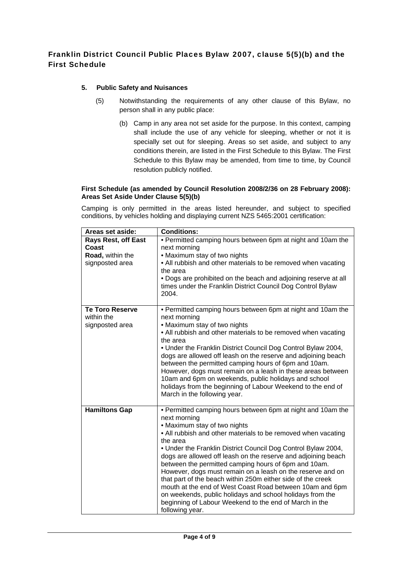### Franklin District Council Public Places Bylaw 2007, clause 5(5)(b) and the First Schedule

### **5. Public Safety and Nuisances**

- (5) Notwithstanding the requirements of any other clause of this Bylaw, no person shall in any public place:
	- (b) Camp in any area not set aside for the purpose. In this context, camping shall include the use of any vehicle for sleeping, whether or not it is specially set out for sleeping. Areas so set aside, and subject to any conditions therein, are listed in the First Schedule to this Bylaw. The First Schedule to this Bylaw may be amended, from time to time, by Council resolution publicly notified.

#### **First Schedule (as amended by Council Resolution 2008/2/36 on 28 February 2008): Areas Set Aside Under Clause 5(5)(b)**

Camping is only permitted in the areas listed hereunder, and subject to specified conditions, by vehicles holding and displaying current NZS 5465:2001 certification:

| Areas set aside:                                                           | <b>Conditions:</b>                                                                                                                                                                                                                                                                                                                                                                                                                                                                                                                                                                                                                                                                                                    |
|----------------------------------------------------------------------------|-----------------------------------------------------------------------------------------------------------------------------------------------------------------------------------------------------------------------------------------------------------------------------------------------------------------------------------------------------------------------------------------------------------------------------------------------------------------------------------------------------------------------------------------------------------------------------------------------------------------------------------------------------------------------------------------------------------------------|
| <b>Rays Rest, off East</b><br>Coast<br>Road, within the<br>signposted area | • Permitted camping hours between 6pm at night and 10am the<br>next morning<br>• Maximum stay of two nights<br>• All rubbish and other materials to be removed when vacating<br>the area<br>• Dogs are prohibited on the beach and adjoining reserve at all<br>times under the Franklin District Council Dog Control Bylaw<br>2004.                                                                                                                                                                                                                                                                                                                                                                                   |
| <b>Te Toro Reserve</b><br>within the<br>signposted area                    | • Permitted camping hours between 6pm at night and 10am the<br>next morning<br>• Maximum stay of two nights<br>• All rubbish and other materials to be removed when vacating<br>the area<br>. Under the Franklin District Council Dog Control Bylaw 2004,<br>dogs are allowed off leash on the reserve and adjoining beach<br>between the permitted camping hours of 6pm and 10am.<br>However, dogs must remain on a leash in these areas between<br>10am and 6pm on weekends, public holidays and school<br>holidays from the beginning of Labour Weekend to the end of<br>March in the following year.                                                                                                              |
| <b>Hamiltons Gap</b>                                                       | • Permitted camping hours between 6pm at night and 10am the<br>next morning<br>• Maximum stay of two nights<br>• All rubbish and other materials to be removed when vacating<br>the area<br>. Under the Franklin District Council Dog Control Bylaw 2004,<br>dogs are allowed off leash on the reserve and adjoining beach<br>between the permitted camping hours of 6pm and 10am.<br>However, dogs must remain on a leash on the reserve and on<br>that part of the beach within 250m either side of the creek<br>mouth at the end of West Coast Road between 10am and 6pm<br>on weekends, public holidays and school holidays from the<br>beginning of Labour Weekend to the end of March in the<br>following year. |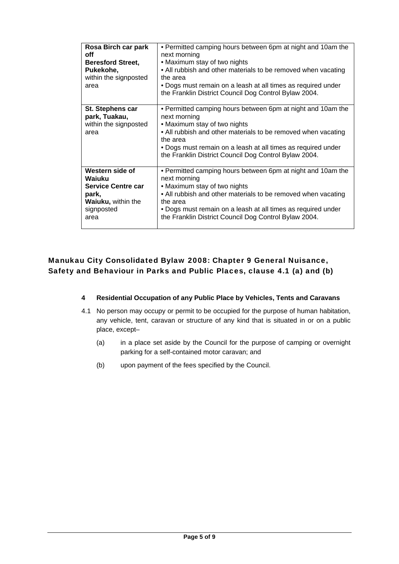| Rosa Birch car park<br>off<br><b>Beresford Street,</b><br>Pukekohe,<br>within the signposted<br>area               | • Permitted camping hours between 6pm at night and 10am the<br>next morning<br>• Maximum stay of two nights<br>• All rubbish and other materials to be removed when vacating<br>the area<br>• Dogs must remain on a leash at all times as required under<br>the Franklin District Council Dog Control Bylaw 2004. |
|--------------------------------------------------------------------------------------------------------------------|-------------------------------------------------------------------------------------------------------------------------------------------------------------------------------------------------------------------------------------------------------------------------------------------------------------------|
| St. Stephens car<br>park, Tuakau,<br>within the signposted<br>area                                                 | • Permitted camping hours between 6pm at night and 10am the<br>next morning<br>• Maximum stay of two nights<br>• All rubbish and other materials to be removed when vacating<br>the area<br>• Dogs must remain on a leash at all times as required under<br>the Franklin District Council Dog Control Bylaw 2004. |
| Western side of<br>Waiuku<br><b>Service Centre car</b><br>park,<br><b>Waiuku, within the</b><br>signposted<br>area | • Permitted camping hours between 6pm at night and 10am the<br>next morning<br>• Maximum stay of two nights<br>• All rubbish and other materials to be removed when vacating<br>the area<br>• Dogs must remain on a leash at all times as required under<br>the Franklin District Council Dog Control Bylaw 2004. |

### Manukau City Consolidated Bylaw 2008: Chapter 9 General Nuisance, Safety and Behaviour in Parks and Public Places, clause 4.1 (a) and (b)

### **4 Residential Occupation of any Public Place by Vehicles, Tents and Caravans**

- 4.1 No person may occupy or permit to be occupied for the purpose of human habitation, any vehicle, tent, caravan or structure of any kind that is situated in or on a public place, except–
	- (a) in a place set aside by the Council for the purpose of camping or overnight parking for a self-contained motor caravan; and
	- (b) upon payment of the fees specified by the Council.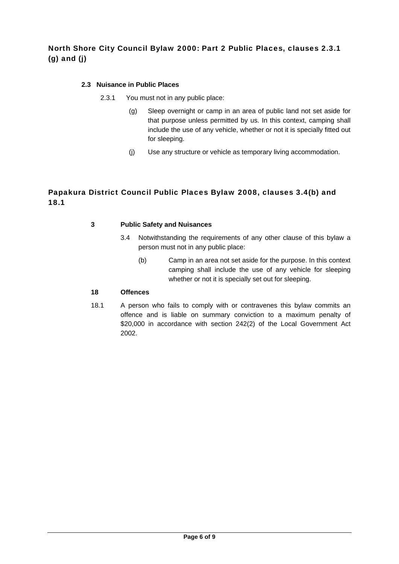### North Shore City Council Bylaw 2000: Part 2 Public Places, clauses 2.3.1 (g) and (j)

### **2.3 Nuisance in Public Places**

- 2.3.1 You must not in any public place:
	- (g) Sleep overnight or camp in an area of public land not set aside for that purpose unless permitted by us. In this context, camping shall include the use of any vehicle, whether or not it is specially fitted out for sleeping.
	- (j) Use any structure or vehicle as temporary living accommodation.

### Papakura District Council Public Places Bylaw 2008, clauses 3.4(b) and 18.1

### **3 Public Safety and Nuisances**

- 3.4 Notwithstanding the requirements of any other clause of this bylaw a person must not in any public place:
	- (b) Camp in an area not set aside for the purpose. In this context camping shall include the use of any vehicle for sleeping whether or not it is specially set out for sleeping.

### **18 Offences**

18.1 A person who fails to comply with or contravenes this bylaw commits an offence and is liable on summary conviction to a maximum penalty of \$20,000 in accordance with section 242(2) of the Local Government Act 2002.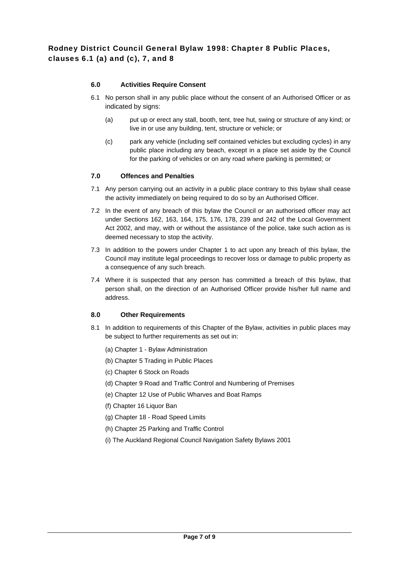### **6.0 Activities Require Consent**

- 6.1 No person shall in any public place without the consent of an Authorised Officer or as indicated by signs:
	- (a) put up or erect any stall, booth, tent, tree hut, swing or structure of any kind; or live in or use any building, tent, structure or vehicle; or
	- (c) park any vehicle (including self contained vehicles but excluding cycles) in any public place including any beach, except in a place set aside by the Council for the parking of vehicles or on any road where parking is permitted; or

### **7.0 Offences and Penalties**

- 7.1 Any person carrying out an activity in a public place contrary to this bylaw shall cease the activity immediately on being required to do so by an Authorised Officer.
- 7.2 In the event of any breach of this bylaw the Council or an authorised officer may act under Sections 162, 163, 164, 175, 176, 178, 239 and 242 of the Local Government Act 2002, and may, with or without the assistance of the police, take such action as is deemed necessary to stop the activity.
- 7.3 In addition to the powers under Chapter 1 to act upon any breach of this bylaw, the Council may institute legal proceedings to recover loss or damage to public property as a consequence of any such breach.
- 7.4 Where it is suspected that any person has committed a breach of this bylaw, that person shall, on the direction of an Authorised Officer provide his/her full name and address.

### **8.0 Other Requirements**

- 8.1 In addition to requirements of this Chapter of the Bylaw, activities in public places may be subject to further requirements as set out in:
	- (a) Chapter 1 Bylaw Administration
	- (b) Chapter 5 Trading in Public Places
	- (c) Chapter 6 Stock on Roads
	- (d) Chapter 9 Road and Traffic Control and Numbering of Premises
	- (e) Chapter 12 Use of Public Wharves and Boat Ramps
	- (f) Chapter 16 Liquor Ban
	- (g) Chapter 18 Road Speed Limits
	- (h) Chapter 25 Parking and Traffic Control
	- (i) The Auckland Regional Council Navigation Safety Bylaws 2001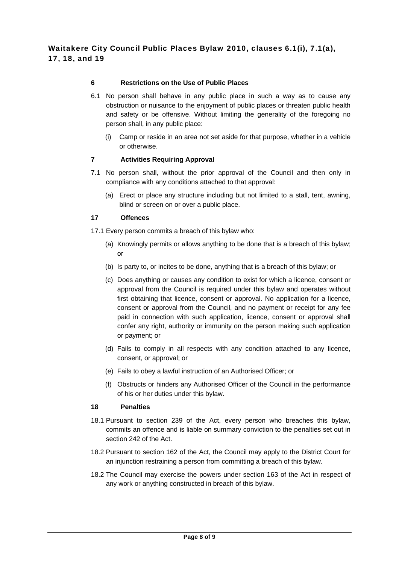### **6 Restrictions on the Use of Public Places**

- 6.1 No person shall behave in any public place in such a way as to cause any obstruction or nuisance to the enjoyment of public places or threaten public health and safety or be offensive. Without limiting the generality of the foregoing no person shall, in any public place:
	- (i) Camp or reside in an area not set aside for that purpose, whether in a vehicle or otherwise.

### **7 Activities Requiring Approval**

- 7.1 No person shall, without the prior approval of the Council and then only in compliance with any conditions attached to that approval:
	- (a) Erect or place any structure including but not limited to a stall, tent, awning, blind or screen on or over a public place.

#### **17 Offences**

17.1 Every person commits a breach of this bylaw who:

- (a) Knowingly permits or allows anything to be done that is a breach of this bylaw; or
- (b) Is party to, or incites to be done, anything that is a breach of this bylaw; or
- (c) Does anything or causes any condition to exist for which a licence, consent or approval from the Council is required under this bylaw and operates without first obtaining that licence, consent or approval. No application for a licence, consent or approval from the Council, and no payment or receipt for any fee paid in connection with such application, licence, consent or approval shall confer any right, authority or immunity on the person making such application or payment; or
- (d) Fails to comply in all respects with any condition attached to any licence, consent, or approval; or
- (e) Fails to obey a lawful instruction of an Authorised Officer; or
- (f) Obstructs or hinders any Authorised Officer of the Council in the performance of his or her duties under this bylaw.

#### **18 Penalties**

- 18.1 Pursuant to section 239 of the Act, every person who breaches this bylaw, commits an offence and is liable on summary conviction to the penalties set out in section 242 of the Act.
- 18.2 Pursuant to section 162 of the Act, the Council may apply to the District Court for an injunction restraining a person from committing a breach of this bylaw.
- 18.2 The Council may exercise the powers under section 163 of the Act in respect of any work or anything constructed in breach of this bylaw.